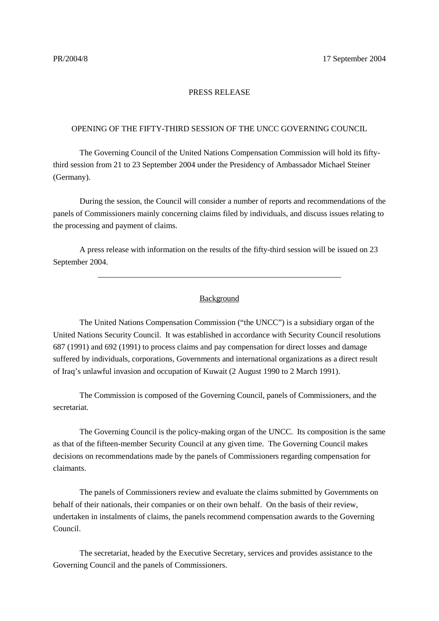## PRESS RELEASE

## OPENING OF THE FIFTY-THIRD SESSION OF THE UNCC GOVERNING COUNCIL

The Governing Council of the United Nations Compensation Commission will hold its fiftythird session from 21 to 23 September 2004 under the Presidency of Ambassador Michael Steiner (Germany).

During the session, the Council will consider a number of reports and recommendations of the panels of Commissioners mainly concerning claims filed by individuals, and discuss issues relating to the processing and payment of claims.

A press release with information on the results of the fifty-third session will be issued on 23 September 2004.

## Background

\_\_\_\_\_\_\_\_\_\_\_\_\_\_\_\_\_\_\_\_\_\_\_\_\_\_\_\_\_\_\_\_\_\_\_\_\_\_\_\_\_\_\_\_\_\_\_\_\_\_\_\_\_\_\_\_\_\_\_\_

The United Nations Compensation Commission ("the UNCC") is a subsidiary organ of the United Nations Security Council. It was established in accordance with Security Council resolutions 687 (1991) and 692 (1991) to process claims and pay compensation for direct losses and damage suffered by individuals, corporations, Governments and international organizations as a direct result of Iraq's unlawful invasion and occupation of Kuwait (2 August 1990 to 2 March 1991).

The Commission is composed of the Governing Council, panels of Commissioners, and the secretariat.

The Governing Council is the policy-making organ of the UNCC. Its composition is the same as that of the fifteen-member Security Council at any given time. The Governing Council makes decisions on recommendations made by the panels of Commissioners regarding compensation for claimants.

The panels of Commissioners review and evaluate the claims submitted by Governments on behalf of their nationals, their companies or on their own behalf. On the basis of their review, undertaken in instalments of claims, the panels recommend compensation awards to the Governing Council.

The secretariat, headed by the Executive Secretary, services and provides assistance to the Governing Council and the panels of Commissioners.